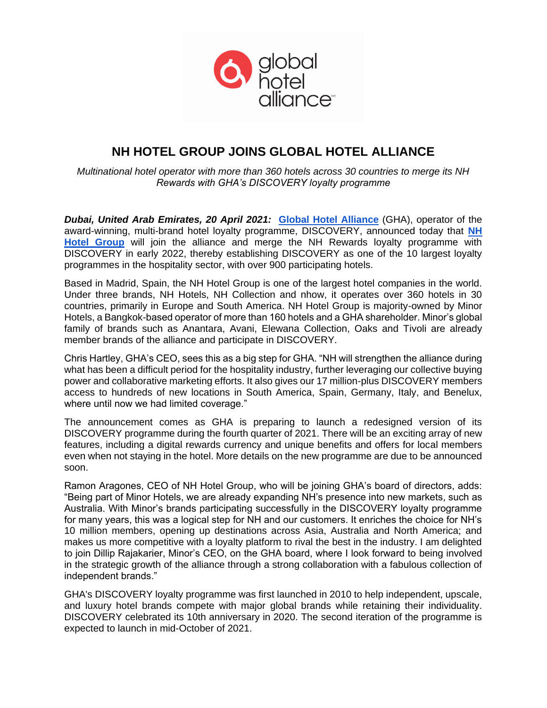

# **NH HOTEL GROUP JOINS GLOBAL HOTEL ALLIANCE**

*Multinational hotel operator with more than 360 hotels across 30 countries to merge its NH Rewards with GHA's DISCOVERY loyalty programme*

*Dubai, United Arab Emirates, 20 April 2021:* **[Global Hotel Alliance](https://www.globalhotelalliance.com/)** (GHA), operator of the award-winning, multi-brand hotel loyalty programme, DISCOVERY, announced today tha[t](https://www.nh-hotels.com/) **[NH](https://www.nh-hotels.com/)  [Hotel Group](https://www.nh-hotels.com/)** will join the alliance and merge the NH Rewards loyalty programme with DISCOVERY in early 2022, thereby establishing DISCOVERY as one of the 10 largest loyalty programmes in the hospitality sector, with over 900 participating hotels.

Based in Madrid, Spain, the NH Hotel Group is one of the largest hotel companies in the world. Under three brands, NH Hotels, NH Collection and nhow, it operates over 360 hotels in 30 countries, primarily in Europe and South America. NH Hotel Group is majority-owned by Minor Hotels, a Bangkok-based operator of more than 160 hotels and a GHA shareholder. Minor's global family of brands such as Anantara, Avani, Elewana Collection, Oaks and Tivoli are already member brands of the alliance and participate in DISCOVERY.

Chris Hartley, GHA's CEO, sees this as a big step for GHA. "NH will strengthen the alliance during what has been a difficult period for the hospitality industry, further leveraging our collective buying power and collaborative marketing efforts. It also gives our 17 million-plus DISCOVERY members access to hundreds of new locations in South America, Spain, Germany, Italy, and Benelux, where until now we had limited coverage."

The announcement comes as GHA is preparing to launch a redesigned version of its DISCOVERY programme during the fourth quarter of 2021. There will be an exciting array of new features, including a digital rewards currency and unique benefits and offers for local members even when not staying in the hotel. More details on the new programme are due to be announced soon.

Ramon Aragones, CEO of NH Hotel Group, who will be joining GHA's board of directors, adds: "Being part of Minor Hotels, we are already expanding NH's presence into new markets, such as Australia. With Minor's brands participating successfully in the DISCOVERY loyalty programme for many years, this was a logical step for NH and our customers. It enriches the choice for NH's 10 million members, opening up destinations across Asia, Australia and North America; and makes us more competitive with a loyalty platform to rival the best in the industry. I am delighted to join Dillip Rajakarier, Minor's CEO, on the GHA board, where I look forward to being involved in the strategic growth of the alliance through a strong collaboration with a fabulous collection of independent brands."

GHA's DISCOVERY loyalty programme was first launched in 2010 to help independent, upscale, and luxury hotel brands compete with major global brands while retaining their individuality. DISCOVERY celebrated its 10th anniversary in 2020. The second iteration of the programme is expected to launch in mid-October of 2021.